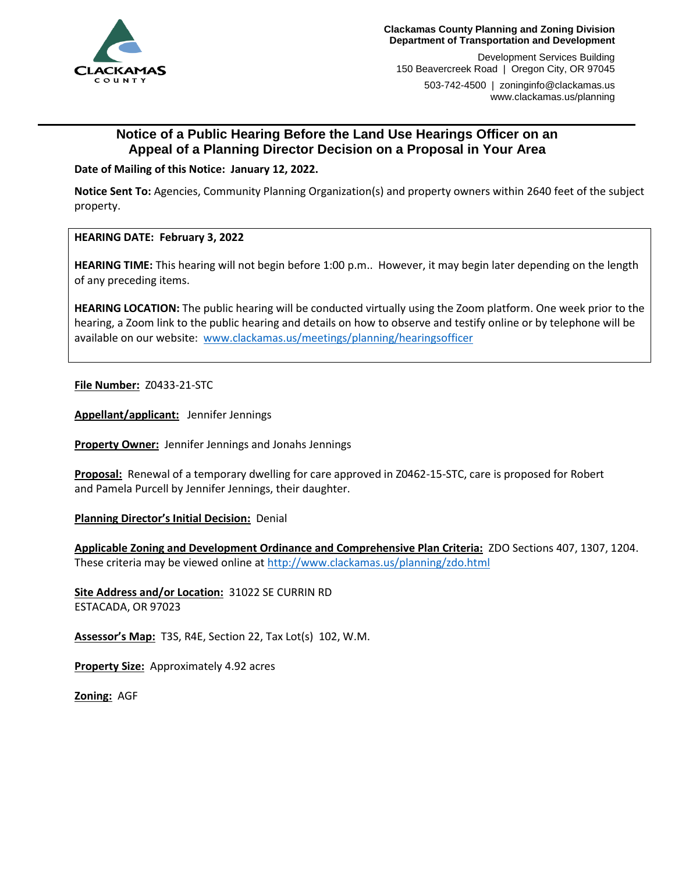

Development Services Building 150 Beavercreek Road | Oregon City, OR 97045

503-742-4500 | zoninginfo@clackamas.us www.clackamas.us/planning

# **Notice of a Public Hearing Before the Land Use Hearings Officer on an Appeal of a Planning Director Decision on a Proposal in Your Area**

**Date of Mailing of this Notice: January 12, 2022.**

**Notice Sent To:** Agencies, Community Planning Organization(s) and property owners within 2640 feet of the subject property.

**HEARING DATE: February 3, 2022**

**HEARING TIME:** This hearing will not begin before 1:00 p.m..However, it may begin later depending on the length of any preceding items.

**HEARING LOCATION:** The public hearing will be conducted virtually using the Zoom platform. One week prior to the hearing, a Zoom link to the public hearing and details on how to observe and testify online or by telephone will be available on our website: [www.clackamas.us/meetings/planning/hearingsofficer](http://www.clackamas.us/meetings/planning/hearingsofficer)

**File Number:** Z0433-21-STC

**Appellant/applicant:** Jennifer Jennings

**Property Owner:** Jennifer Jennings and Jonahs Jennings

**Proposal:** Renewal of a temporary dwelling for care approved in Z0462-15-STC, care is proposed for Robert and Pamela Purcell by Jennifer Jennings, their daughter.

**Planning Director's Initial Decision:** Denial

**Applicable Zoning and Development Ordinance and Comprehensive Plan Criteria:** ZDO Sections 407, 1307, 1204. These criteria may be viewed online a[t http://www.clackamas.us/planning/zdo.html](http://www.clackamas.us/planning/zdo.html)

**Site Address and/or Location:** 31022 SE CURRIN RD ESTACADA, OR 97023

**Assessor's Map:** T3S, R4E, Section 22, Tax Lot(s) 102, W.M.

**Property Size:** Approximately 4.92 acres

**Zoning:** AGF